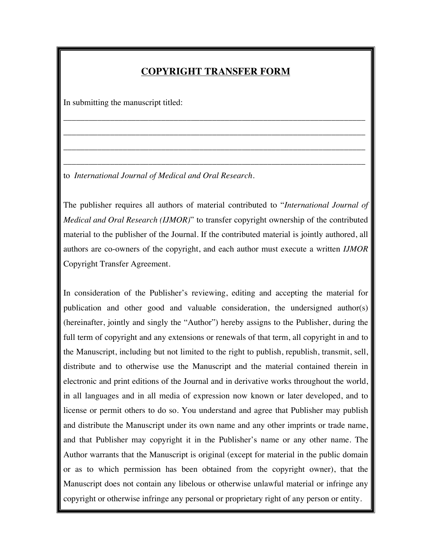## **COPYRIGHT TRANSFER FORM**

\_\_\_\_\_\_\_\_\_\_\_\_\_\_\_\_\_\_\_\_\_\_\_\_\_\_\_\_\_\_\_\_\_\_\_\_\_\_\_\_\_\_\_\_\_\_\_\_\_\_\_\_\_\_\_\_\_\_\_\_\_\_\_\_\_\_\_\_\_\_\_

\_\_\_\_\_\_\_\_\_\_\_\_\_\_\_\_\_\_\_\_\_\_\_\_\_\_\_\_\_\_\_\_\_\_\_\_\_\_\_\_\_\_\_\_\_\_\_\_\_\_\_\_\_\_\_\_\_\_\_\_\_\_\_\_\_\_\_\_\_\_\_

\_\_\_\_\_\_\_\_\_\_\_\_\_\_\_\_\_\_\_\_\_\_\_\_\_\_\_\_\_\_\_\_\_\_\_\_\_\_\_\_\_\_\_\_\_\_\_\_\_\_\_\_\_\_\_\_\_\_\_\_\_\_\_\_\_\_\_\_\_\_\_

\_\_\_\_\_\_\_\_\_\_\_\_\_\_\_\_\_\_\_\_\_\_\_\_\_\_\_\_\_\_\_\_\_\_\_\_\_\_\_\_\_\_\_\_\_\_\_\_\_\_\_\_\_\_\_\_\_\_\_\_\_\_\_\_\_\_\_\_\_\_\_

In submitting the manuscript titled:

to *International Journal of Medical and Oral Research*.

The publisher requires all authors of material contributed to "*International Journal of Medical and Oral Research (IJMOR)*" to transfer copyright ownership of the contributed material to the publisher of the Journal. If the contributed material is jointly authored, all authors are co-owners of the copyright, and each author must execute a written *IJMOR*  Copyright Transfer Agreement.

In consideration of the Publisher's reviewing, editing and accepting the material for publication and other good and valuable consideration, the undersigned author(s) (hereinafter, jointly and singly the "Author") hereby assigns to the Publisher, during the full term of copyright and any extensions or renewals of that term, all copyright in and to the Manuscript, including but not limited to the right to publish, republish, transmit, sell, distribute and to otherwise use the Manuscript and the material contained therein in electronic and print editions of the Journal and in derivative works throughout the world, in all languages and in all media of expression now known or later developed, and to license or permit others to do so. You understand and agree that Publisher may publish and distribute the Manuscript under its own name and any other imprints or trade name, and that Publisher may copyright it in the Publisher's name or any other name. The Author warrants that the Manuscript is original (except for material in the public domain or as to which permission has been obtained from the copyright owner), that the Manuscript does not contain any libelous or otherwise unlawful material or infringe any copyright or otherwise infringe any personal or proprietary right of any person or entity.